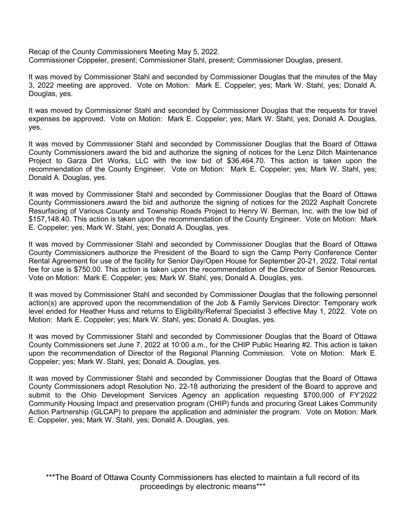Recap of the County Commissioners Meeting May 5, 2022. Commissioner Coppeler, present; Commissioner Stahl, present; Commissioner Douglas, present.

It was moved by Commissioner Stahl and seconded by Commissioner Douglas that the minutes of the May 3, 2022 meeting are approved. Vote on Motion: Mark E. Coppeler; yes; Mark W. Stahl, yes; Donald A. Douglas, yes.

It was moved by Commissioner Stahl and seconded by Commissioner Douglas that the requests for travel expenses be approved. Vote on Motion: Mark E. Coppeler; yes; Mark W. Stahl, yes; Donald A. Douglas, yes.

It was moved by Commissioner Stahl and seconded by Commissioner Douglas that the Board of Ottawa County Commissioners award the bid and authorize the signing of notices for the Lenz Ditch Maintenance Project to Garza Dirt Works, LLC with the low bid of \$36,464.70. This action is taken upon the recommendation of the County Engineer. Vote on Motion: Mark E. Coppeler; yes; Mark W. Stahl, yes; Donald A. Douglas, yes.

It was moved by Commissioner Stahl and seconded by Commissioner Douglas that the Board of Ottawa County Commissioners award the bid and authorize the signing of notices for the 2022 Asphalt Concrete Resurfacing of Various County and Township Roads Project to Henry W. Berman, Inc. with the low bid of \$157,148.40. This action is taken upon the recommendation of the County Engineer. Vote on Motion: Mark E. Coppeler; yes; Mark W. Stahl, yes; Donald A. Douglas, yes.

It was moved by Commissioner Stahl and seconded by Commissioner Douglas that the Board of Ottawa County Commissioners authorize the President of the Board to sign the Camp Perry Conference Center Rental Agreement for use of the facility for Senior Day/Open House for September 20-21, 2022. Total rental fee for use is \$750.00. This action is taken upon the recommendation of the Director of Senior Resources. Vote on Motion: Mark E. Coppeler; yes; Mark W. Stahl, yes; Donald A. Douglas, yes.

It was moved by Commissioner Stahl and seconded by Commissioner Douglas that the following personnel action(s) are approved upon the recommendation of the Job & Family Services Director: Temporary work level ended for Heather Huss and returns to Eligibility/Referral Specialist 3 effective May 1, 2022. Vote on Motion: Mark E. Coppeler; yes; Mark W. Stahl, yes; Donald A. Douglas, yes.

It was moved by Commissioner Stahl and seconded by Commissioner Douglas that the Board of Ottawa County Commissioners set June 7, 2022 at 10:00 a.m., for the CHIP Public Hearing #2. This action is taken upon the recommendation of Director of the Regional Planning Commission. Vote on Motion: Mark E. Coppeler; yes; Mark W. Stahl, yes; Donald A. Douglas, yes.

It was moved by Commissioner Stahl and seconded by Commissioner Douglas that the Board of Ottawa County Commissioners adopt Resolution No. 22-18 authorizing the president of the Board to approve and submit to the Ohio Development Services Agency an application requesting \$700,000 of FY'2022 Community Housing Impact and preservation program (CHIP) funds and procuring Great Lakes Community Action Partnership (GLCAP) to prepare the application and administer the program. Vote on Motion: Mark E. Coppeler, yes; Mark W. Stahl, yes; Donald A. Douglas, yes.